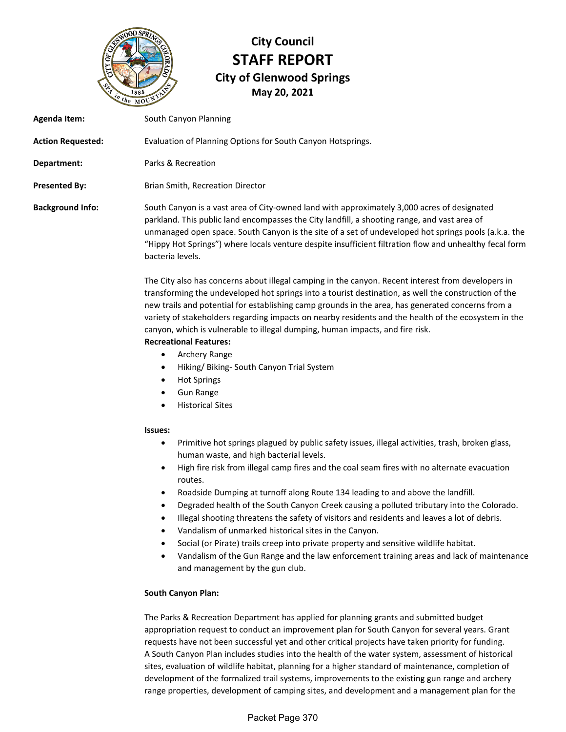

# **City Council STAFF REPORT City of Glenwood Springs May 20, 2021**

| Agenda Item:             | South Canyon Planning                                                                                                                                                                                                                                                                                                                                                                                                                                                                                                                                      |
|--------------------------|------------------------------------------------------------------------------------------------------------------------------------------------------------------------------------------------------------------------------------------------------------------------------------------------------------------------------------------------------------------------------------------------------------------------------------------------------------------------------------------------------------------------------------------------------------|
| <b>Action Requested:</b> | Evaluation of Planning Options for South Canyon Hotsprings.                                                                                                                                                                                                                                                                                                                                                                                                                                                                                                |
| Department:              | Parks & Recreation                                                                                                                                                                                                                                                                                                                                                                                                                                                                                                                                         |
| <b>Presented By:</b>     | Brian Smith, Recreation Director                                                                                                                                                                                                                                                                                                                                                                                                                                                                                                                           |
| <b>Background Info:</b>  | South Canyon is a vast area of City-owned land with approximately 3,000 acres of designated<br>parkland. This public land encompasses the City landfill, a shooting range, and vast area of<br>unmanaged open space. South Canyon is the site of a set of undeveloped hot springs pools (a.k.a. the<br>"Hippy Hot Springs") where locals venture despite insufficient filtration flow and unhealthy fecal form<br>bacteria levels.                                                                                                                         |
|                          | The City also has concerns about illegal camping in the canyon. Recent interest from developers in<br>transforming the undeveloped hot springs into a tourist destination, as well the construction of the<br>new trails and potential for establishing camp grounds in the area, has generated concerns from a<br>variety of stakeholders regarding impacts on nearby residents and the health of the ecosystem in the<br>canyon, which is vulnerable to illegal dumping, human impacts, and fire risk.<br><b>Recreational Features:</b><br>Archery Range |

- Hiking/ Biking- South Canyon Trial System
- Hot Springs
- **•** Gun Range
- Historical Sites

### **Issues:**

- Primitive hot springs plagued by public safety issues, illegal activities, trash, broken glass, human waste, and high bacterial levels.
- High fire risk from illegal camp fires and the coal seam fires with no alternate evacuation routes.
- Roadside Dumping at turnoff along Route 134 leading to and above the landfill.
- Degraded health of the South Canyon Creek causing a polluted tributary into the Colorado.
- Illegal shooting threatens the safety of visitors and residents and leaves a lot of debris.
- Vandalism of unmarked historical sites in the Canyon.
- Social (or Pirate) trails creep into private property and sensitive wildlife habitat.
- Vandalism of the Gun Range and the law enforcement training areas and lack of maintenance and management by the gun club.

## **South Canyon Plan:**

The Parks & Recreation Department has applied for planning grants and submitted budget appropriation request to conduct an improvement plan for South Canyon for several years. Grant requests have not been successful yet and other critical projects have taken priority for funding. A South Canyon Plan includes studies into the health of the water system, assessment of historical sites, evaluation of wildlife habitat, planning for a higher standard of maintenance, completion of development of the formalized trail systems, improvements to the existing gun range and archery range properties, development of camping sites, and development and a management plan for the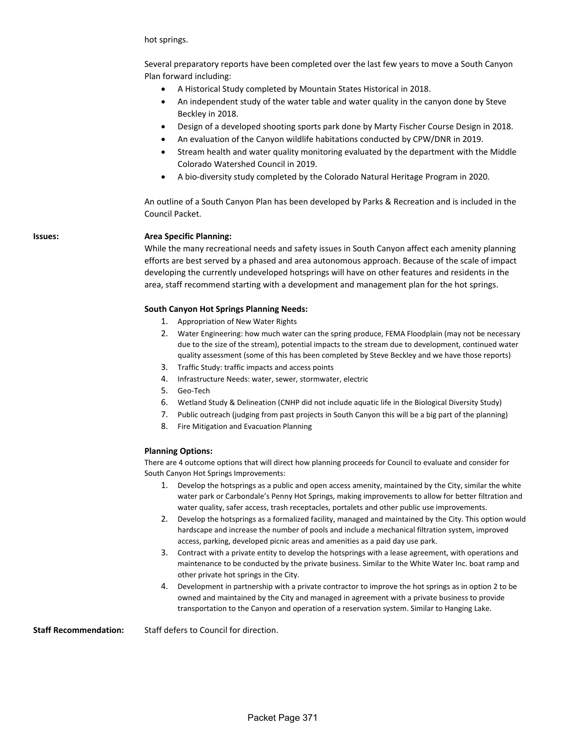hot springs.

Several preparatory reports have been completed over the last few years to move a South Canyon Plan forward including:

- A Historical Study completed by Mountain States Historical in 2018.
- An independent study of the water table and water quality in the canyon done by Steve Beckley in 2018.
- Design of a developed shooting sports park done by Marty Fischer Course Design in 2018.
- An evaluation of the Canyon wildlife habitations conducted by CPW/DNR in 2019.
- Stream health and water quality monitoring evaluated by the department with the Middle Colorado Watershed Council in 2019.
- A bio-diversity study completed by the Colorado Natural Heritage Program in 2020.

An outline of a South Canyon Plan has been developed by Parks & Recreation and is included in the Council Packet.

#### **Issues: Area Specific Planning:**

While the many recreational needs and safety issues in South Canyon affect each amenity planning efforts are best served by a phased and area autonomous approach. Because of the scale of impact developing the currently undeveloped hotsprings will have on other features and residents in the area, staff recommend starting with a development and management plan for the hot springs.

#### **South Canyon Hot Springs Planning Needs:**

- 1. Appropriation of New Water Rights
- 2. Water Engineering: how much water can the spring produce, FEMA Floodplain (may not be necessary due to the size of the stream), potential impacts to the stream due to development, continued water quality assessment (some of this has been completed by Steve Beckley and we have those reports)
- 3. Traffic Study: traffic impacts and access points
- 4. Infrastructure Needs: water, sewer, stormwater, electric
- 5. Geo-Tech
- 6. Wetland Study & Delineation (CNHP did not include aquatic life in the Biological Diversity Study)
- 7. Public outreach (judging from past projects in South Canyon this will be a big part of the planning)
- 8. Fire Mitigation and Evacuation Planning

#### **Planning Options:**

There are 4 outcome options that will direct how planning proceeds for Council to evaluate and consider for South Canyon Hot Springs Improvements:

- 1. Develop the hotsprings as a public and open access amenity, maintained by the City, similar the white water park or Carbondale's Penny Hot Springs, making improvements to allow for better filtration and water quality, safer access, trash receptacles, portalets and other public use improvements.
- 2. Develop the hotsprings as a formalized facility, managed and maintained by the City. This option would hardscape and increase the number of pools and include a mechanical filtration system, improved access, parking, developed picnic areas and amenities as a paid day use park.
- 3. Contract with a private entity to develop the hotsprings with a lease agreement, with operations and maintenance to be conducted by the private business. Similar to the White Water Inc. boat ramp and other private hot springs in the City.
- 4. Development in partnership with a private contractor to improve the hot springs as in option 2 to be owned and maintained by the City and managed in agreement with a private business to provide transportation to the Canyon and operation of a reservation system. Similar to Hanging Lake.

**Staff Recommendation:** Staff defers to Council for direction.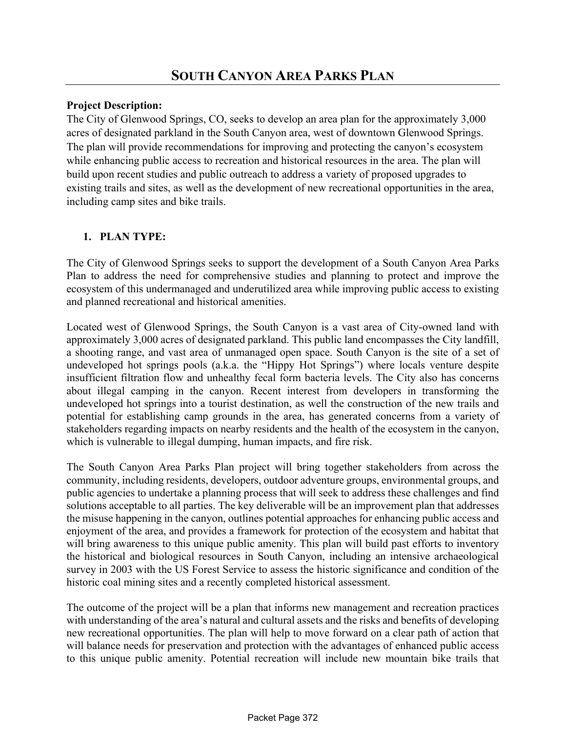## **Project Description:**

The City of Glenwood Springs, CO, seeks to develop an area plan for the approximately 3,000 acres of designated parkland in the South Canyon area, west of downtown Glenwood Springs. The plan will provide recommendations for improving and protecting the canyon's ecosystem while enhancing public access to recreation and historical resources in the area. The plan will build upon recent studies and public outreach to address a variety of proposed upgrades to existing trails and sites, as well as the development of new recreational opportunities in the area, including camp sites and bike trails.

## **1. PLAN TYPE:**

The City of Glenwood Springs seeks to support the development of a South Canyon Area Parks Plan to address the need for comprehensive studies and planning to protect and improve the ecosystem of this undermanaged and underutilized area while improving public access to existing and planned recreational and historical amenities.

Located west of Glenwood Springs, the South Canyon is a vast area of City-owned land with approximately 3,000 acres of designated parkland. This public land encompasses the City landfill, a shooting range, and vast area of unmanaged open space. South Canyon is the site of a set of undeveloped hot springs pools (a.k.a. the "Hippy Hot Springs") where locals venture despite insufficient filtration flow and unhealthy fecal form bacteria levels. The City also has concerns about illegal camping in the canyon. Recent interest from developers in transforming the undeveloped hot springs into a tourist destination, as well the construction of the new trails and potential for establishing camp grounds in the area, has generated concerns from a variety of stakeholders regarding impacts on nearby residents and the health of the ecosystem in the canyon, which is vulnerable to illegal dumping, human impacts, and fire risk.

The South Canyon Area Parks Plan project will bring together stakeholders from across the community, including residents, developers, outdoor adventure groups, environmental groups, and public agencies to undertake a planning process that will seek to address these challenges and find solutions acceptable to all parties. The key deliverable will be an improvement plan that addresses the misuse happening in the canyon, outlines potential approaches for enhancing public access and enjoyment of the area, and provides a framework for protection of the ecosystem and habitat that will bring awareness to this unique public amenity. This plan will build past efforts to inventory the historical and biological resources in South Canyon, including an intensive archaeological survey in 2003 with the US Forest Service to assess the historic significance and condition of the historic coal mining sites and a recently completed historical assessment.

The outcome of the project will be a plan that informs new management and recreation practices with understanding of the area's natural and cultural assets and the risks and benefits of developing new recreational opportunities. The plan will help to move forward on a clear path of action that will balance needs for preservation and protection with the advantages of enhanced public access to this unique public amenity. Potential recreation will include new mountain bike trails that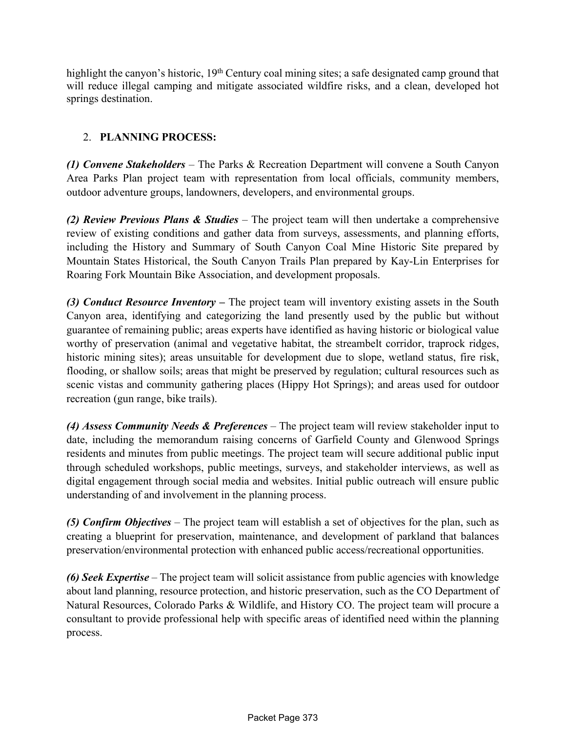highlight the canyon's historic, 19<sup>th</sup> Century coal mining sites; a safe designated camp ground that will reduce illegal camping and mitigate associated wildfire risks, and a clean, developed hot springs destination.

## 2. **PLANNING PROCESS:**

*(1) Convene Stakeholders* – The Parks & Recreation Department will convene a South Canyon Area Parks Plan project team with representation from local officials, community members, outdoor adventure groups, landowners, developers, and environmental groups.

*(2) Review Previous Plans & Studies* – The project team will then undertake a comprehensive review of existing conditions and gather data from surveys, assessments, and planning efforts, including the History and Summary of South Canyon Coal Mine Historic Site prepared by Mountain States Historical, the South Canyon Trails Plan prepared by Kay-Lin Enterprises for Roaring Fork Mountain Bike Association, and development proposals.

*(3) Conduct Resource Inventory –* The project team will inventory existing assets in the South Canyon area, identifying and categorizing the land presently used by the public but without guarantee of remaining public; areas experts have identified as having historic or biological value worthy of preservation (animal and vegetative habitat, the streambelt corridor, traprock ridges, historic mining sites); areas unsuitable for development due to slope, wetland status, fire risk, flooding, or shallow soils; areas that might be preserved by regulation; cultural resources such as scenic vistas and community gathering places (Hippy Hot Springs); and areas used for outdoor recreation (gun range, bike trails).

*(4) Assess Community Needs & Preferences* – The project team will review stakeholder input to date, including the memorandum raising concerns of Garfield County and Glenwood Springs residents and minutes from public meetings. The project team will secure additional public input through scheduled workshops, public meetings, surveys, and stakeholder interviews, as well as digital engagement through social media and websites. Initial public outreach will ensure public understanding of and involvement in the planning process.

*(5) Confirm Objectives* – The project team will establish a set of objectives for the plan, such as creating a blueprint for preservation, maintenance, and development of parkland that balances preservation/environmental protection with enhanced public access/recreational opportunities.

*(6) Seek Expertise* – The project team will solicit assistance from public agencies with knowledge about land planning, resource protection, and historic preservation, such as the CO Department of Natural Resources, Colorado Parks & Wildlife, and History CO. The project team will procure a consultant to provide professional help with specific areas of identified need within the planning process.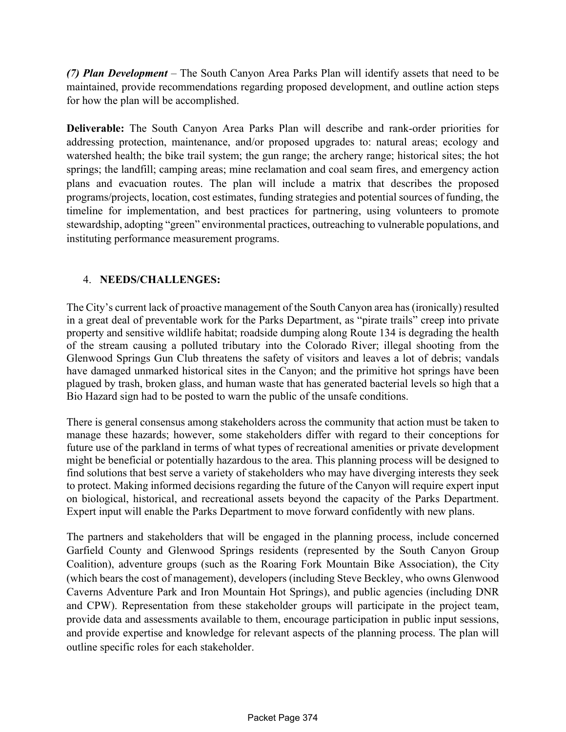*(7) Plan Development* – The South Canyon Area Parks Plan will identify assets that need to be maintained, provide recommendations regarding proposed development, and outline action steps for how the plan will be accomplished.

**Deliverable:** The South Canyon Area Parks Plan will describe and rank-order priorities for addressing protection, maintenance, and/or proposed upgrades to: natural areas; ecology and watershed health; the bike trail system; the gun range; the archery range; historical sites; the hot springs; the landfill; camping areas; mine reclamation and coal seam fires, and emergency action plans and evacuation routes. The plan will include a matrix that describes the proposed programs/projects, location, cost estimates, funding strategies and potential sources of funding, the timeline for implementation, and best practices for partnering, using volunteers to promote stewardship, adopting "green" environmental practices, outreaching to vulnerable populations, and instituting performance measurement programs.

## 4. **NEEDS/CHALLENGES:**

The City's current lack of proactive management of the South Canyon area has(ironically) resulted in a great deal of preventable work for the Parks Department, as "pirate trails" creep into private property and sensitive wildlife habitat; roadside dumping along Route 134 is degrading the health of the stream causing a polluted tributary into the Colorado River; illegal shooting from the Glenwood Springs Gun Club threatens the safety of visitors and leaves a lot of debris; vandals have damaged unmarked historical sites in the Canyon; and the primitive hot springs have been plagued by trash, broken glass, and human waste that has generated bacterial levels so high that a Bio Hazard sign had to be posted to warn the public of the unsafe conditions.

There is general consensus among stakeholders across the community that action must be taken to manage these hazards; however, some stakeholders differ with regard to their conceptions for future use of the parkland in terms of what types of recreational amenities or private development might be beneficial or potentially hazardous to the area. This planning process will be designed to find solutions that best serve a variety of stakeholders who may have diverging interests they seek to protect. Making informed decisions regarding the future of the Canyon will require expert input on biological, historical, and recreational assets beyond the capacity of the Parks Department. Expert input will enable the Parks Department to move forward confidently with new plans.

The partners and stakeholders that will be engaged in the planning process, include concerned Garfield County and Glenwood Springs residents (represented by the South Canyon Group Coalition), adventure groups (such as the Roaring Fork Mountain Bike Association), the City (which bears the cost of management), developers (including Steve Beckley, who owns Glenwood Caverns Adventure Park and Iron Mountain Hot Springs), and public agencies (including DNR and CPW). Representation from these stakeholder groups will participate in the project team, provide data and assessments available to them, encourage participation in public input sessions, and provide expertise and knowledge for relevant aspects of the planning process. The plan will outline specific roles for each stakeholder.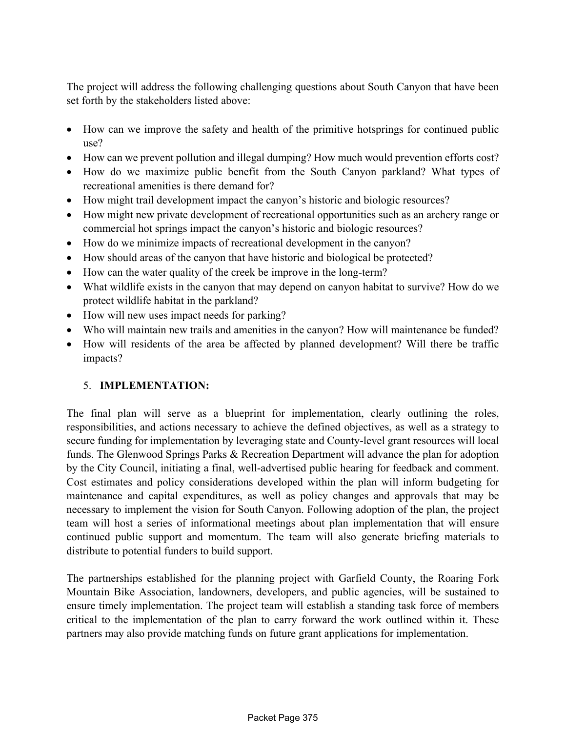The project will address the following challenging questions about South Canyon that have been set forth by the stakeholders listed above:

- How can we improve the safety and health of the primitive hotsprings for continued public use?
- How can we prevent pollution and illegal dumping? How much would prevention efforts cost?
- How do we maximize public benefit from the South Canyon parkland? What types of recreational amenities is there demand for?
- How might trail development impact the canyon's historic and biologic resources?
- How might new private development of recreational opportunities such as an archery range or commercial hot springs impact the canyon's historic and biologic resources?
- How do we minimize impacts of recreational development in the canyon?
- How should areas of the canyon that have historic and biological be protected?
- How can the water quality of the creek be improve in the long-term?
- What wildlife exists in the canyon that may depend on canyon habitat to survive? How do we protect wildlife habitat in the parkland?
- How will new uses impact needs for parking?
- Who will maintain new trails and amenities in the canyon? How will maintenance be funded?
- How will residents of the area be affected by planned development? Will there be traffic impacts?

## 5. **IMPLEMENTATION:**

The final plan will serve as a blueprint for implementation, clearly outlining the roles, responsibilities, and actions necessary to achieve the defined objectives, as well as a strategy to secure funding for implementation by leveraging state and County-level grant resources will local funds. The Glenwood Springs Parks & Recreation Department will advance the plan for adoption by the City Council, initiating a final, well-advertised public hearing for feedback and comment. Cost estimates and policy considerations developed within the plan will inform budgeting for maintenance and capital expenditures, as well as policy changes and approvals that may be necessary to implement the vision for South Canyon. Following adoption of the plan, the project team will host a series of informational meetings about plan implementation that will ensure continued public support and momentum. The team will also generate briefing materials to distribute to potential funders to build support.

The partnerships established for the planning project with Garfield County, the Roaring Fork Mountain Bike Association, landowners, developers, and public agencies, will be sustained to ensure timely implementation. The project team will establish a standing task force of members critical to the implementation of the plan to carry forward the work outlined within it. These partners may also provide matching funds on future grant applications for implementation.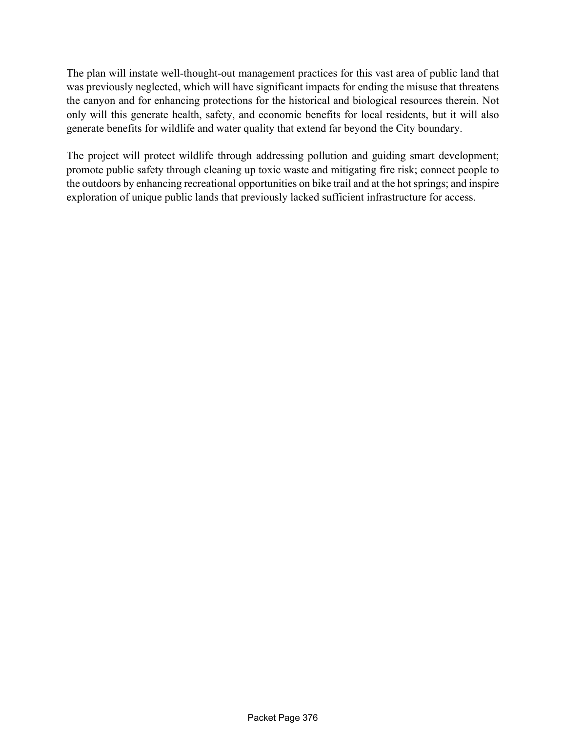The plan will instate well-thought-out management practices for this vast area of public land that was previously neglected, which will have significant impacts for ending the misuse that threatens the canyon and for enhancing protections for the historical and biological resources therein. Not only will this generate health, safety, and economic benefits for local residents, but it will also generate benefits for wildlife and water quality that extend far beyond the City boundary.

The project will protect wildlife through addressing pollution and guiding smart development; promote public safety through cleaning up toxic waste and mitigating fire risk; connect people to the outdoors by enhancing recreational opportunities on bike trail and at the hotsprings; and inspire exploration of unique public lands that previously lacked sufficient infrastructure for access.